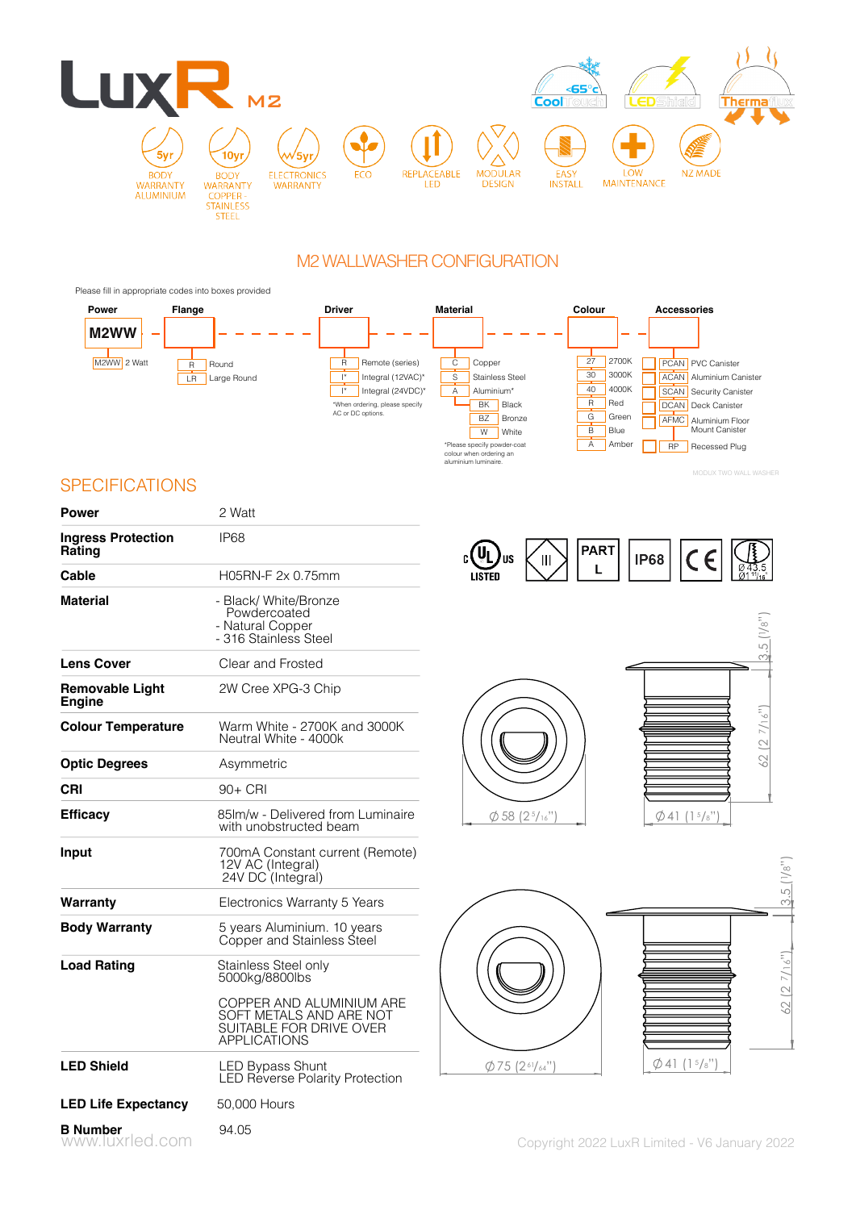

# M2 WALLWASHER CONFIGURATION

Please fill in appropriate codes into boxes provided



**SPECIFICATIONS** 

| <b>Power</b>                            | 2 Watt                                                                                                |
|-----------------------------------------|-------------------------------------------------------------------------------------------------------|
| <b>Ingress Protection</b><br>Rating     | IP68                                                                                                  |
| Cable                                   | H05RN-F 2x 0.75mm                                                                                     |
| <b>Material</b>                         | - Black/ White/Bronze<br>Powdercoated<br>- Natural Copper<br>- 316 Stainless Steel                    |
| <b>Lens Cover</b>                       | Clear and Frosted                                                                                     |
| <b>Removable Light</b><br><b>Engine</b> | 2W Cree XPG-3 Chip                                                                                    |
| <b>Colour Temperature</b>               | Warm White - 2700K and 3000K<br>Neutral White - 4000k                                                 |
| <b>Optic Degrees</b>                    | Asymmetric                                                                                            |
| CRI                                     | 90+ CRI                                                                                               |
| <b>Efficacy</b>                         | 85lm/w - Delivered from Luminaire<br>with unobstructed beam                                           |
| Input                                   | 700mA Constant current (Remote)<br>12V AC (Integral)<br>24V DC (Integral)                             |
| Warranty                                | Electronics Warranty 5 Years                                                                          |
| <b>Body Warranty</b>                    | 5 years Aluminium. 10 years<br>Copper and Stainless Steel                                             |
| <b>Load Rating</b>                      | Stainless Steel only<br>5000kg/8800lbs                                                                |
|                                         | COPPER AND ALUMINIUM ARE<br>SOFT METALS AND ARE NOT<br>SUITABLE FOR DRIVE OVER<br><b>APPLICATIONS</b> |
| <b>LED Shield</b>                       | <b>LED Bypass Shunt</b><br><b>LED Reverse Polarity Protection</b>                                     |
| <b>LED Life Expectancy</b>              | 50,000 Hours                                                                                          |
| <b>B</b> Number<br>www.luxrled.com      | 94.05                                                                                                 |







MODUX TWO WALL WASHER